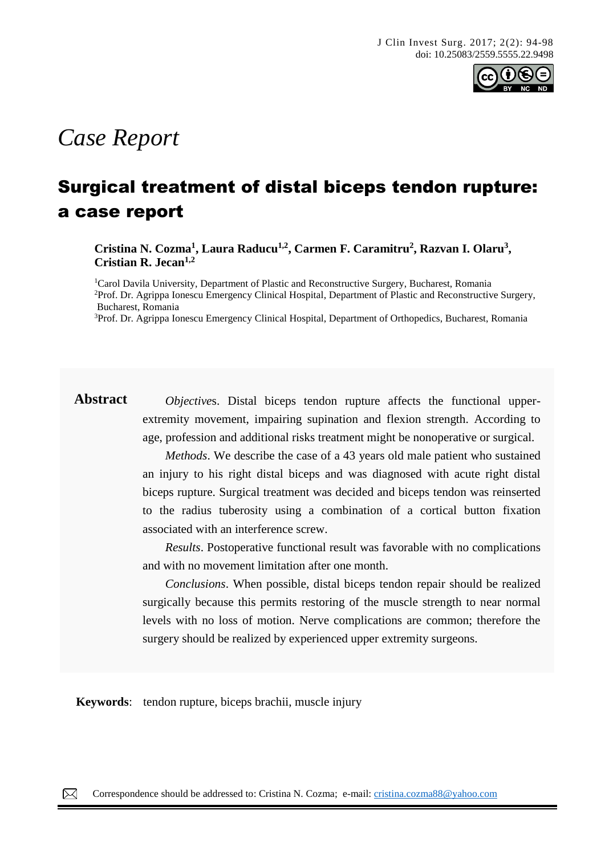

# *Case Report*

## Surgical treatment of distal biceps tendon rupture: a case report

**Cristina N. Cozma<sup>1</sup> , Laura Raducu1,2, Carmen F. Caramitru<sup>2</sup> , Razvan I. Olaru<sup>3</sup> , Cristian R. Jecan1,2**

<sup>1</sup>Carol Davila University, Department of Plastic and Reconstructive Surgery, Bucharest, Romania <sup>2</sup>Prof. Dr. Agrippa Ionescu Emergency Clinical Hospital, Department of Plastic and Reconstructive Surgery, Bucharest, Romania

<sup>3</sup>Prof. Dr. Agrippa Ionescu Emergency Clinical Hospital, Department of Orthopedics, Bucharest, Romania

**Abstract** *Objective*s. Distal biceps tendon rupture affects the functional upperextremity movement, impairing supination and flexion strength. According to age, profession and additional risks treatment might be nonoperative or surgical.

> *Methods*. We describe the case of a 43 years old male patient who sustained an injury to his right distal biceps and was diagnosed with acute right distal biceps rupture. Surgical treatment was decided and biceps tendon was reinserted to the radius tuberosity using a combination of a cortical button fixation associated with an interference screw.

> *Results*. Postoperative functional result was favorable with no complications and with no movement limitation after one month.

> *Conclusions*. When possible, distal biceps tendon repair should be realized surgically because this permits restoring of the muscle strength to near normal levels with no loss of motion. Nerve complications are common; therefore the surgery should be realized by experienced upper extremity surgeons.

**Keywords**: tendon rupture, biceps brachii, muscle injury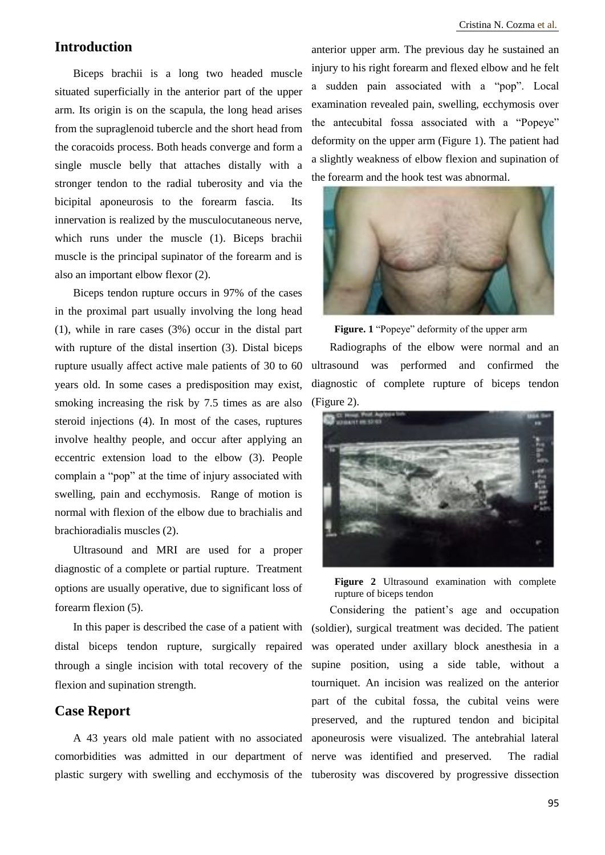## **Introduction**

Biceps brachii is a long two headed muscle situated superficially in the anterior part of the upper arm. Its origin is on the scapula, the long head arises from the supraglenoid tubercle and the short head from the coracoids process. Both heads converge and form a single muscle belly that attaches distally with a stronger tendon to the radial tuberosity and via the bicipital aponeurosis to the forearm fascia. Its innervation is realized by the musculocutaneous nerve, which runs under the muscle (1). Biceps brachii muscle is the principal supinator of the forearm and is also an important elbow flexor (2).

Biceps tendon rupture occurs in 97% of the cases in the proximal part usually involving the long head (1), while in rare cases (3%) occur in the distal part with rupture of the distal insertion (3). Distal biceps rupture usually affect active male patients of 30 to 60 years old. In some cases a predisposition may exist, smoking increasing the risk by 7.5 times as are also steroid injections (4). In most of the cases, ruptures involve healthy people, and occur after applying an eccentric extension load to the elbow (3). People complain a "pop" at the time of injury associated with swelling, pain and ecchymosis. Range of motion is normal with flexion of the elbow due to brachialis and brachioradialis muscles (2).

Ultrasound and MRI are used for a proper diagnostic of a complete or partial rupture. Treatment options are usually operative, due to significant loss of forearm flexion (5).

In this paper is described the case of a patient with distal biceps tendon rupture, surgically repaired through a single incision with total recovery of the flexion and supination strength.

### **Case Report**

anterior upper arm. The previous day he sustained an injury to his right forearm and flexed elbow and he felt a sudden pain associated with a "pop". Local examination revealed pain, swelling, ecchymosis over the antecubital fossa associated with a "Popeye" deformity on the upper arm (Figure 1). The patient had a slightly weakness of elbow flexion and supination of the forearm and the hook test was abnormal.



**Figure. 1** "Popeye" deformity of the upper arm

Radiographs of the elbow were normal and an ultrasound was performed and confirmed the diagnostic of complete rupture of biceps tendon (Figure 2).



**Figure 2** Ultrasound examination with complete rupture of biceps tendon

A 43 years old male patient with no associated aponeurosis were visualized. The antebrahial lateral comorbidities was admitted in our department of nerve was identified and preserved. The radial plastic surgery with swelling and ecchymosis of the tuberosity was discovered by progressive dissection Considering the patient's age and occupation (soldier), surgical treatment was decided. The patient was operated under axillary block anesthesia in a supine position, using a side table, without a tourniquet. An incision was realized on the anterior part of the cubital fossa, the cubital veins were preserved, and the ruptured tendon and bicipital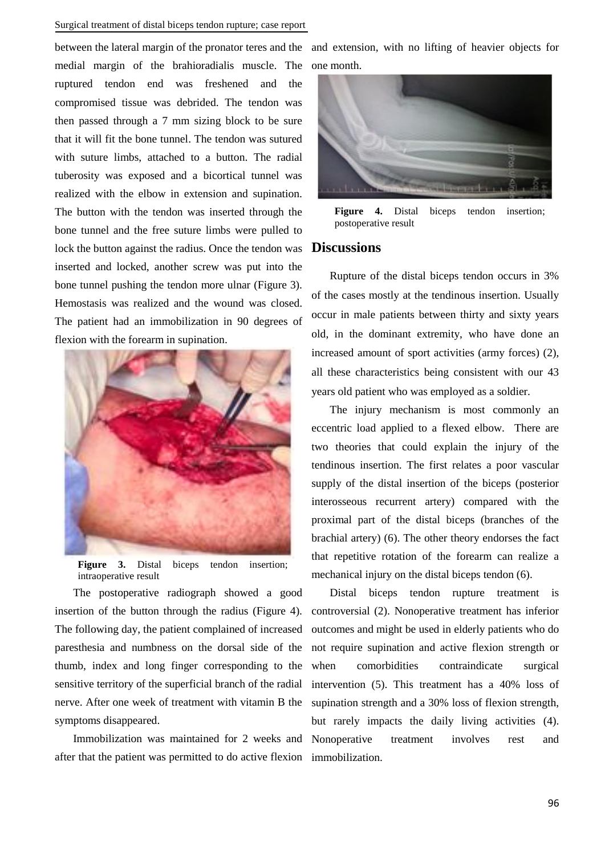#### Surgical treatment of distal biceps tendon rupture; case report

between the lateral margin of the pronator teres and the and extension, with no lifting of heavier objects for medial margin of the brahioradialis muscle. The one month. ruptured tendon end was freshened and the compromised tissue was debrided. The tendon was then passed through a 7 mm sizing block to be sure that it will fit the bone tunnel. The tendon was sutured with suture limbs, attached to a button. The radial tuberosity was exposed and a bicortical tunnel was realized with the elbow in extension and supination. The button with the tendon was inserted through the bone tunnel and the free suture limbs were pulled to lock the button against the radius. Once the tendon was inserted and locked, another screw was put into the bone tunnel pushing the tendon more ulnar (Figure 3). Hemostasis was realized and the wound was closed. The patient had an immobilization in 90 degrees of flexion with the forearm in supination.



Figure 3. Distal biceps tendon insertion; intraoperative result

The postoperative radiograph showed a good insertion of the button through the radius (Figure 4). The following day, the patient complained of increased paresthesia and numbness on the dorsal side of the thumb, index and long finger corresponding to the sensitive territory of the superficial branch of the radial nerve. After one week of treatment with vitamin B the symptoms disappeared.

after that the patient was permitted to do active flexion immobilization.



Figure 4. Distal biceps tendon insertion; postoperative result

#### **Discussions**

Rupture of the distal biceps tendon occurs in 3% of the cases mostly at the tendinous insertion. Usually occur in male patients between thirty and sixty years old, in the dominant extremity, who have done an increased amount of sport activities (army forces) (2), all these characteristics being consistent with our 43 years old patient who was employed as a soldier.

The injury mechanism is most commonly an eccentric load applied to a flexed elbow. There are two theories that could explain the injury of the tendinous insertion. The first relates a poor vascular supply of the distal insertion of the biceps (posterior interosseous recurrent artery) compared with the proximal part of the distal biceps (branches of the brachial artery) (6). The other theory endorses the fact that repetitive rotation of the forearm can realize a mechanical injury on the distal biceps tendon (6).

Immobilization was maintained for 2 weeks and Nonoperative treatment involves rest and Distal biceps tendon rupture treatment is controversial (2). Nonoperative treatment has inferior outcomes and might be used in elderly patients who do not require supination and active flexion strength or when comorbidities contraindicate surgical intervention (5). This treatment has a 40% loss of supination strength and a 30% loss of flexion strength, but rarely impacts the daily living activities (4).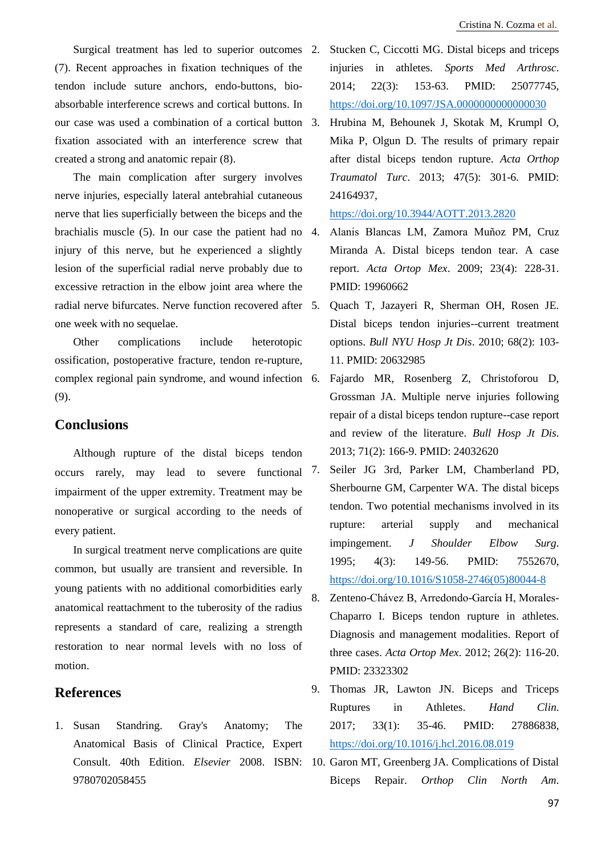Surgical treatment has led to superior outcomes 2. (7). Recent approaches in fixation techniques of the tendon include suture anchors, endo-buttons, bioabsorbable interference screws and cortical buttons. In our case was used a combination of a cortical button fixation associated with an interference screw that created a strong and anatomic repair (8).

The main complication after surgery involves nerve injuries, especially lateral antebrahial cutaneous nerve that lies superficially between the biceps and the brachialis muscle (5). In our case the patient had no injury of this nerve, but he experienced a slightly lesion of the superficial radial nerve probably due to excessive retraction in the elbow joint area where the radial nerve bifurcates. Nerve function recovered after 5. one week with no sequelae.

Other complications include heterotopic ossification, postoperative fracture, tendon re-rupture, complex regional pain syndrome, and wound infection (9).

## **Conclusions**

Although rupture of the distal biceps tendon occurs rarely, may lead to severe functional 7. impairment of the upper extremity. Treatment may be nonoperative or surgical according to the needs of every patient.

In surgical treatment nerve complications are quite common, but usually are transient and reversible. In young patients with no additional comorbidities early anatomical reattachment to the tuberosity of the radius represents a standard of care, realizing a strength restoration to near normal levels with no loss of motion.

## **References**

1. Susan Standring. Gray's Anatomy; The Anatomical Basis of Clinical Practice, Expert 9780702058455

- Stucken C, Ciccotti MG. Distal biceps and triceps injuries in athletes. *Sports Med Arthrosc*. 2014; 22(3): 153-63. PMID: 25077745, <https://doi.org/10.1097/JSA.0000000000000030>
- 3. Hrubina M, Behounek J, Skotak M, Krumpl O, Mika P, Olgun D. The results of primary repair after distal biceps tendon rupture. *Acta Orthop Traumatol Turc*. 2013; 47(5): 301-6. PMID: 24164937,

#### <https://doi.org/10.3944/AOTT.2013.2820>

- 4. Alanis Blancas LM, Zamora Muñoz PM, Cruz Miranda A. Distal biceps tendon tear. A case report. *Acta Ortop Mex*. 2009; 23(4): 228-31. PMID: 19960662
- 5. Quach T, Jazayeri R, Sherman OH, Rosen JE. Distal biceps tendon injuries--current treatment options. *Bull NYU Hosp Jt Dis*. 2010; 68(2): 103- 11. PMID: 20632985
- 6. Fajardo MR, Rosenberg Z, Christoforou D, Grossman JA. Multiple nerve injuries following repair of a distal biceps tendon rupture--case report and review of the literature. *Bull Hosp Jt Dis*. 2013; 71(2): 166-9. PMID: 24032620
- 7. Seiler JG 3rd, Parker LM, Chamberland PD, Sherbourne GM, Carpenter WA. The distal biceps tendon. Two potential mechanisms involved in its rupture: arterial supply and mechanical impingement. *J Shoulder Elbow Surg*. 1995; 4(3): 149-56. PMID: 7552670, [https://doi.org/10.1016/S1058-2746\(05\)80044-8](https://doi.org/10.1016/S1058-2746(05)80044-8)
- 8. Zenteno-Chávez B, Arredondo-García H, Morales-Chaparro I. Biceps tendon rupture in athletes. Diagnosis and management modalities. Report of three cases. *Acta Ortop Mex*. 2012; 26(2): 116-20. PMID: 23323302
- 9. Thomas JR, Lawton JN. Biceps and Triceps Ruptures in Athletes. *Hand Clin*. 2017; 33(1): 35-46. PMID: 27886838, <https://doi.org/10.1016/j.hcl.2016.08.019>
- Consult. 40th Edition. *Elsevier* 2008. ISBN: 10. Garon MT, Greenberg JA. Complications of Distal Biceps Repair. *Orthop Clin North Am*.